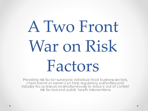# A Two Front War on Risk Factors

Providing risk factor surveys to individual food business sectors, chain-brand or owner can help regulatory authorities and industry focus resources simultaneously to reduce out of control risk factors and public heath interventions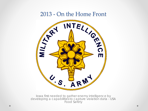

Iowa first needed to gather enemy intelligence by developing a capabilities to capture violation data - USA Food Safety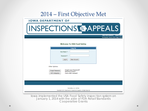| 2014 – First Objective Met                                                                                                                                                                                                     |
|--------------------------------------------------------------------------------------------------------------------------------------------------------------------------------------------------------------------------------|
| <b>IOWA DEPARTMENT OF</b>                                                                                                                                                                                                      |
| <b>INSPECTIONS &amp; APPEALS</b>                                                                                                                                                                                               |
| <b>IOWA STATE AGENCIES ONLINE SERVICE</b><br>Kim Reynolds, Governor Adam Gregg, Lt. Gove                                                                                                                                       |
| <b>Welcome To USA Food Safety</b>                                                                                                                                                                                              |
| Log In<br>User Name *:<br>Password *:<br>Log In<br><b>New Account</b><br>Other Options:<br><b>Forgot your Password?</b><br><b>Forgot Password</b><br><b>Retrieve it Here!</b><br>WiFi Hotspot(s)<br><b>Find a WiFi Hotspot</b> |
|                                                                                                                                                                                                                                |
| Food Safety 2.8.2.1807304<br>Copyright @ 2018 Department of Inspections & Appeals. All Rights Reserved                                                                                                                         |
| lowa implemented the USA Food Safety inspection system on<br>January 1, 2014 with the aide of FDA Retail Standards<br><b>Cooperative Grants</b>                                                                                |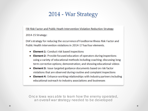#### 2014 - War Strategy

FBI Risk Factor and Public Heath Intervention Violation Reduction Strategy

2014-15 Strategy:

DIA's strategy for reducing the occurrence of Foodborne Illness Risk Factor and Public Health Intervention violations in 2014-17 has four elements.

- Element 1: Conduct risk based inspections
- Element 2: Provide focused education of operators during inspections using a variety of educational methods including coaching; discussing long term corrective options; demonstration; and showing educational videos
- Element 3: Issue targeted guidance documents based on risk factor violations that are observed during routine and complaint inspections
- Element 4: Enhance working relationships with industry partners including educational outreach to industry associations and businesses

Once Iowa was able to learn how the enemy operated, an overall war strategy needed to be developed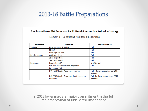#### 2013-18 Battle Preparations

Foodborne Illness Risk Factor and Public Health Intervention Reduction Strategy

Element 1 - Conducting Risk Based Inspections

| Component        | <b>Activities</b>                           | Implementation                    |
|------------------|---------------------------------------------|-----------------------------------|
| <b>Training</b>  | <b>New Inspector Training</b>               | Full                              |
|                  | <b>FD218</b>                                | Full                              |
|                  | <b>Investigative Skills</b>                 | Full                              |
| Reinforcement    | QA Inspections                              | Full                              |
|                  | Joint Inspections                           | Full                              |
|                  | Standardization                             | Full                              |
| <b>Resources</b> | <b>Inspection SOP</b>                       | <b>Not Started</b>                |
|                  | DIA Risk Assessment and Inspection          | Full                              |
|                  | <b>Frequency Policy</b>                     |                                   |
|                  | <b>DIA FCSB Quality Assurance Program</b>   | Full - Revision required per 2017 |
|                  |                                             | <b>VNRFRPS.</b>                   |
|                  | DIA FCSB Quality Assurance Joint Inspection | Full - Revision required per 2017 |
|                  | Checklist                                   | <b>VNRFRPS</b>                    |

In 2013 Iowa made a major commitment in the full implementation of Risk Based Inspections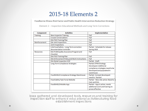#### 2015-18 Elements 2

Foodborne Illness Risk Factor and Public Health Intervention Reduction Strategy

Element 2 - Inspection Educational Methods and Long Term Corrections

| Component        | <b>Activities</b>                            | Implementation                    |
|------------------|----------------------------------------------|-----------------------------------|
| <b>Training</b>  | <b>New Inspector Training</b>                | Full                              |
|                  | <b>Crucial Conversations</b>                 | Full                              |
|                  | <b>DIA FSIO Training Plan</b>                | Full                              |
| Reinforcement    | QA Joint Inspections                         | Full                              |
|                  | Joint Inspections                            | Full                              |
|                  | USA Food Safety-Long-Term correction         | Partial - Schedule for release    |
|                  | documentation reminder                       | Spring 2018                       |
| <b>Resources</b> | DIA FCSB Quality Assurance Program and       | Full                              |
|                  | Checklist                                    |                                   |
|                  | <b>DIA FSIO Training Plan</b>                | Full                              |
|                  | DIA Enforcement Policy and Work Instructions | Full                              |
|                  | DIA Retail Inspection SOP                    | <b>Partial - Draft</b>            |
|                  | Long Term Compliance Strategies              | Partial CFPM Strategy             |
|                  |                                              | Developed. Additional             |
|                  |                                              | compliance strategies need to be  |
|                  |                                              | developed and populated in        |
|                  |                                              | warehouse                         |
|                  | FoodSHIELD Compliance Strategy Warehouse     | Partial- Concept developed-       |
|                  |                                              | need to Started                   |
|                  | Food Safety Task Force Website               | Partial - New site active-Need to |
|                  |                                              | train and link.                   |
|                  | FoodSHIELD Mobile App                        | Partial - App is active, needs    |
|                  |                                              | additional work and training to   |
|                  |                                              | prove effective                   |

Iowa gathered and developed tools, resources and training for inspection staff to enhance educational activities during food establishment inspections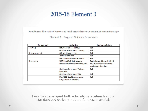#### 2015-18 Element 3

Foodborne Illness Risk Factor and Public Health Intervention Reduction Strategy

Element 3 - Targeted Guidance Documents

| Component        | <b>Activities</b>                 | <b>Implementation</b>                               |  |  |  |
|------------------|-----------------------------------|-----------------------------------------------------|--|--|--|
| <b>Training</b>  | <b>New Inspector Training</b>     | Full                                                |  |  |  |
|                  | <b>Guidance Document Training</b> | Full                                                |  |  |  |
| Reinforcement    | QA Joint Inspections              | Full                                                |  |  |  |
|                  | Joint Inspections                 | Full                                                |  |  |  |
|                  | USA Food Safety Auto Select       | Full                                                |  |  |  |
| <b>Resources</b> | USA Food Safety Guidance          | Partial-report is available. It                     |  |  |  |
|                  | Document Management Report        | needs additional data and<br>analysis of that data. |  |  |  |
|                  | <b>Guidance Document Training</b> | Full                                                |  |  |  |
|                  | Materials                         |                                                     |  |  |  |
|                  | <b>Guidance Document Kits</b>     | Full                                                |  |  |  |
|                  | DIA FCSB Quality Assurance        | Full                                                |  |  |  |
|                  | Program and Checklist             |                                                     |  |  |  |

Iowa has developed both educational materials and a standardized delivery method for these materials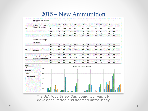#### 2015 – New Ammunition

|                     |                                                                 | 10%<br>5 %                                                    |            |            |              |          |                            |            |            |           |           |            |              |
|---------------------|-----------------------------------------------------------------|---------------------------------------------------------------|------------|------------|--------------|----------|----------------------------|------------|------------|-----------|-----------|------------|--------------|
| <b>Summary Only</b> |                                                                 | 15 %                                                          |            |            |              |          |                            |            |            |           |           |            |              |
| Select              |                                                                 | 20 %                                                          |            |            |              |          |                            |            |            |           |           |            |              |
| <b>Questions</b>    |                                                                 |                                                               |            |            |              |          |                            |            |            |           |           |            |              |
| Out                 | ۳                                                               | 25 %                                                          |            |            |              |          |                            |            |            |           |           |            |              |
| <b>Results</b>      |                                                                 |                                                               |            |            |              |          | Inspection Results By Year |            |            |           |           |            |              |
|                     |                                                                 |                                                               | N/O        | 20%        | 5301         | 22 %     | 3303                       | 18%        | 1159       | 15 %      | 343       | 18%        | 496          |
|                     |                                                                 |                                                               | Out        | 5 %        | 1416         | 6 %      | 866                        | 5 %        | 345        | 3 %       | 78        | 5 %        | 127          |
| 05                  |                                                                 | Procedures for responding to<br>vomiting and diarrheal events | In         | 74 %       | 19585        | 72%      | 10708                      | 76 %       | 4863       | 82 %      | 1907      | 77%        | 2107         |
|                     |                                                                 |                                                               | N/O        | 24 %       | 6227         | 26 %     | 3904                       | 22 %       | 1378       | 17 %      | 387       | 20 %       | 558          |
|                     |                                                                 |                                                               | Out        | 0%         | 14           | 0%       | $\overline{ }$             | 0%         | 6          | 0%        | $\bullet$ | 0%         | $\mathbf{1}$ |
| 04                  | <b>restrictions</b>                                             | <b>Proper use of exclusions and</b>                           |            | 76 %       | 20061        | 74 %     | 10964                      | 78 %       | 4986       | 83 %      | 1940      | 79 %       | 2171         |
|                     |                                                                 |                                                               | N/O        | 18%        | 4795         | 20%      | 2952                       | 17%        | 1057       | 14 %      | 326       | 17%        | 460          |
|                     | and reporting                                                   | knowledge, responsibilities                                   | Out        | 6 %        | 1520         | 7 %      | 980                        | 6 %        | 370        | 2%        | 56        | 4 %        | 114          |
| 03                  | and conditional employee                                        | <b>Management, food employee</b>                              | In         | 76 %       | 19988        | 74 %     | 10945                      | 78 %       | 4941       | 84 %      | 1945      | 79 %       | 2157         |
|                     |                                                                 |                                                               | N/O        | 19 %       | 5061         | 21%      | 3173                       | 17%        | 1107       | 14 %      | 324       | 17%        | 457          |
|                     |                                                                 |                                                               | Out<br>N/A | 5 %<br>8 % | 1437<br>2198 | 6%<br>9% | 942<br>1307                | 5 %<br>7 % | 340<br>462 | 2%<br>5 % | 53<br>118 | 4 %<br>11% | 102<br>311   |
| 02                  | <b>Certified Food Protection</b><br><b>Manager</b>              |                                                               | In         | 67%        | 17608        | 64 %     | 9457                       | 70%        | 4459       | 79%       | 1832      | 68%        | 1860         |
|                     | <b>Total number of routine</b><br>inspections in all categories |                                                               |            | 63 %       | 16667        | 59 %     | 8830                       | 67 %       | 4251       | 72 %      | 1665      | 70 %       | 1921         |
|                     | categories                                                      | Total number of inspections in all                            |            | 100 %      | 26311        | 100 %    | 14882                      | 100 %      | 6370       | 100 %     | 2328      | 100 %      | 2731         |

The USA Food Safety Dashboard tool was fully developed, tested and deemed battle ready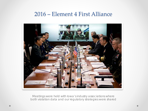#### 2016 – Element 4 First Alliance



Meetings were held with Iowa's industry associations where both violation data and our regulatory strategies were shared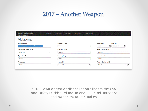### 2017 – Another Weapon

| <b>USA Food Safety</b><br><b>Dashboard</b> | Revenue               | <b>Complaints</b><br><b>Inspections</b><br><b>Violations</b> | <b>Annual Reports</b>    |                           |                           |            |   |  |  |  |
|--------------------------------------------|-----------------------|--------------------------------------------------------------|--------------------------|---------------------------|---------------------------|------------|---|--|--|--|
| Violations.                                |                       |                                                              |                          |                           |                           |            |   |  |  |  |
| Organization                               | Program Type          |                                                              |                          |                           |                           | Date To    |   |  |  |  |
| DIA Food and Consumer Safety Bureau X      |                       | Select                                                       |                          | 1/1/2014                  | 圃                         | 12/31/2017 | Ē |  |  |  |
| <b>Inspection Form Type</b>                | <b>Classification</b> |                                                              |                          |                           | <b>Sub Classification</b> |            |   |  |  |  |
| Retail Food                                | v                     | Select                                                       |                          | Select                    |                           |            |   |  |  |  |
| <b>Operation Type</b>                      |                       | <b>Primary Inspector</b>                                     | <b>Inspection Reason</b> |                           |                           |            |   |  |  |  |
| Select                                     |                       | Select                                                       |                          | Select                    |                           |            |   |  |  |  |
| <b>Franchise</b><br>Owner ID               |                       |                                                              |                          | <b>Parent Business ID</b> |                           |            |   |  |  |  |
| Select                                     | ÷<br>Enter Value      |                                                              |                          | Enter Value               |                           |            |   |  |  |  |

In 2017 Iowa added additional capabilities to the USA Food Safety Dashboard tool to enable brand, franchise and owner risk factor studies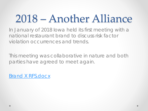## 2018 – Another Alliance

In January of 2018 Iowa held its first meeting with a national restaurant brand to discuss risk factor violation occurrences and trends.

This meeting was collaborative in nature and both parties have agreed to meet again.

Brand X RFS.docx